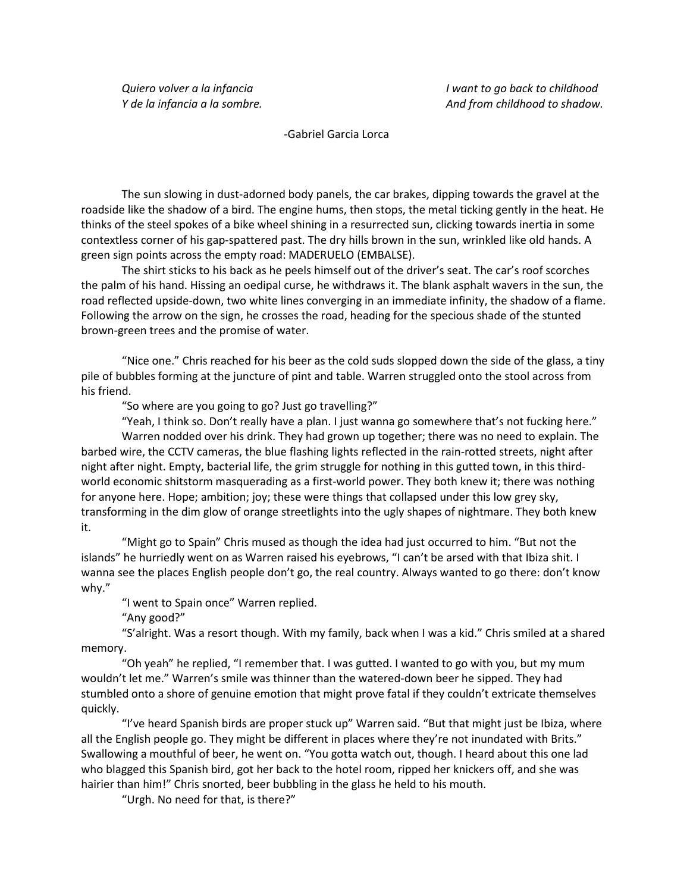-Gabriel Garcia Lorca

The sun slowing in dust-adorned body panels, the car brakes, dipping towards the gravel at the roadside like the shadow of a bird. The engine hums, then stops, the metal ticking gently in the heat. He thinks of the steel spokes of a bike wheel shining in a resurrected sun, clicking towards inertia in some contextless corner of his gap-spattered past. The dry hills brown in the sun, wrinkled like old hands. A green sign points across the empty road: MADERUELO (EMBALSE).

 The shirt sticks to his back as he peels himself out of the driver's seat. The car's roof scorches the palm of his hand. Hissing an oedipal curse, he withdraws it. The blank asphalt wavers in the sun, the road reflected upside-down, two white lines converging in an immediate infinity, the shadow of a flame. Following the arrow on the sign, he crosses the road, heading for the specious shade of the stunted brown-green trees and the promise of water.

 "Nice one." Chris reached for his beer as the cold suds slopped down the side of the glass, a tiny pile of bubbles forming at the juncture of pint and table. Warren struggled onto the stool across from his friend.

"So where are you going to go? Just go travelling?"

 "Yeah, I think so. Don't really have a plan. I just wanna go somewhere that's not fucking here." Warren nodded over his drink. They had grown up together; there was no need to explain. The barbed wire, the CCTV cameras, the blue flashing lights reflected in the rain-rotted streets, night after night after night. Empty, bacterial life, the grim struggle for nothing in this gutted town, in this thirdworld economic shitstorm masquerading as a first-world power. They both knew it; there was nothing for anyone here. Hope; ambition; joy; these were things that collapsed under this low grey sky, transforming in the dim glow of orange streetlights into the ugly shapes of nightmare. They both knew it.

 "Might go to Spain" Chris mused as though the idea had just occurred to him. "But not the islands" he hurriedly went on as Warren raised his eyebrows, "I can't be arsed with that Ibiza shit. I wanna see the places English people don't go, the real country. Always wanted to go there: don't know why."

"I went to Spain once" Warren replied.

"Any good?"

 "S'alright. Was a resort though. With my family, back when I was a kid." Chris smiled at a shared memory.

 "Oh yeah" he replied, "I remember that. I was gutted. I wanted to go with you, but my mum wouldn't let me." Warren's smile was thinner than the watered-down beer he sipped. They had stumbled onto a shore of genuine emotion that might prove fatal if they couldn't extricate themselves quickly.

 "I've heard Spanish birds are proper stuck up" Warren said. "But that might just be Ibiza, where all the English people go. They might be different in places where they're not inundated with Brits." Swallowing a mouthful of beer, he went on. "You gotta watch out, though. I heard about this one lad who blagged this Spanish bird, got her back to the hotel room, ripped her knickers off, and she was hairier than him!" Chris snorted, beer bubbling in the glass he held to his mouth.

"Urgh. No need for that, is there?"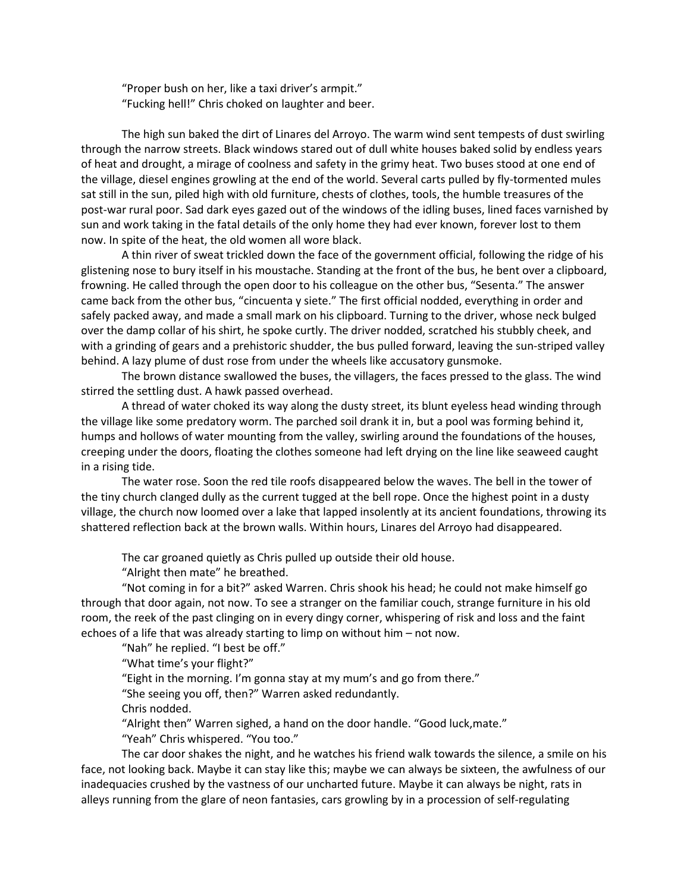"Proper bush on her, like a taxi driver's armpit." "Fucking hell!" Chris choked on laughter and beer.

 The high sun baked the dirt of Linares del Arroyo. The warm wind sent tempests of dust swirling through the narrow streets. Black windows stared out of dull white houses baked solid by endless years of heat and drought, a mirage of coolness and safety in the grimy heat. Two buses stood at one end of the village, diesel engines growling at the end of the world. Several carts pulled by fly-tormented mules sat still in the sun, piled high with old furniture, chests of clothes, tools, the humble treasures of the post-war rural poor. Sad dark eyes gazed out of the windows of the idling buses, lined faces varnished by sun and work taking in the fatal details of the only home they had ever known, forever lost to them now. In spite of the heat, the old women all wore black.

 A thin river of sweat trickled down the face of the government official, following the ridge of his glistening nose to bury itself in his moustache. Standing at the front of the bus, he bent over a clipboard, frowning. He called through the open door to his colleague on the other bus, "Sesenta." The answer came back from the other bus, "cincuenta y siete." The first official nodded, everything in order and safely packed away, and made a small mark on his clipboard. Turning to the driver, whose neck bulged over the damp collar of his shirt, he spoke curtly. The driver nodded, scratched his stubbly cheek, and with a grinding of gears and a prehistoric shudder, the bus pulled forward, leaving the sun-striped valley behind. A lazy plume of dust rose from under the wheels like accusatory gunsmoke.

 The brown distance swallowed the buses, the villagers, the faces pressed to the glass. The wind stirred the settling dust. A hawk passed overhead.

 A thread of water choked its way along the dusty street, its blunt eyeless head winding through the village like some predatory worm. The parched soil drank it in, but a pool was forming behind it, humps and hollows of water mounting from the valley, swirling around the foundations of the houses, creeping under the doors, floating the clothes someone had left drying on the line like seaweed caught in a rising tide.

 The water rose. Soon the red tile roofs disappeared below the waves. The bell in the tower of the tiny church clanged dully as the current tugged at the bell rope. Once the highest point in a dusty village, the church now loomed over a lake that lapped insolently at its ancient foundations, throwing its shattered reflection back at the brown walls. Within hours, Linares del Arroyo had disappeared.

The car groaned quietly as Chris pulled up outside their old house.

"Alright then mate" he breathed.

 "Not coming in for a bit?" asked Warren. Chris shook his head; he could not make himself go through that door again, not now. To see a stranger on the familiar couch, strange furniture in his old room, the reek of the past clinging on in every dingy corner, whispering of risk and loss and the faint echoes of a life that was already starting to limp on without him – not now.

"Nah" he replied. "I best be off."

"What time's your flight?"

"Eight in the morning. I'm gonna stay at my mum's and go from there."

"She seeing you off, then?" Warren asked redundantly.

Chris nodded.

"Alright then" Warren sighed, a hand on the door handle. "Good luck,mate."

"Yeah" Chris whispered. "You too."

 The car door shakes the night, and he watches his friend walk towards the silence, a smile on his face, not looking back. Maybe it can stay like this; maybe we can always be sixteen, the awfulness of our inadequacies crushed by the vastness of our uncharted future. Maybe it can always be night, rats in alleys running from the glare of neon fantasies, cars growling by in a procession of self-regulating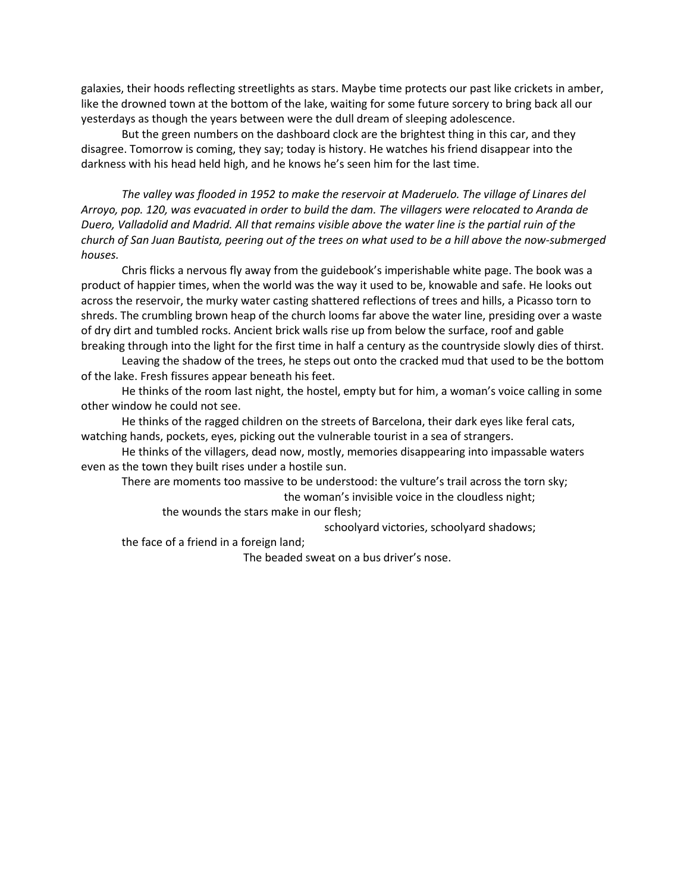galaxies, their hoods reflecting streetlights as stars. Maybe time protects our past like crickets in amber, like the drowned town at the bottom of the lake, waiting for some future sorcery to bring back all our yesterdays as though the years between were the dull dream of sleeping adolescence.

 But the green numbers on the dashboard clock are the brightest thing in this car, and they disagree. Tomorrow is coming, they say; today is history. He watches his friend disappear into the darkness with his head held high, and he knows he's seen him for the last time.

*The valley was flooded in 1952 to make the reservoir at Maderuelo. The village of Linares del Arroyo, pop. 120, was evacuated in order to build the dam. The villagers were relocated to Aranda de Duero, Valladolid and Madrid. All that remains visible above the water line is the partial ruin of the church of San Juan Bautista, peering out of the trees on what used to be a hill above the now-submerged houses.* 

Chris flicks a nervous fly away from the guidebook's imperishable white page. The book was a product of happier times, when the world was the way it used to be, knowable and safe. He looks out across the reservoir, the murky water casting shattered reflections of trees and hills, a Picasso torn to shreds. The crumbling brown heap of the church looms far above the water line, presiding over a waste of dry dirt and tumbled rocks. Ancient brick walls rise up from below the surface, roof and gable breaking through into the light for the first time in half a century as the countryside slowly dies of thirst.

 Leaving the shadow of the trees, he steps out onto the cracked mud that used to be the bottom of the lake. Fresh fissures appear beneath his feet.

 He thinks of the room last night, the hostel, empty but for him, a woman's voice calling in some other window he could not see.

 He thinks of the ragged children on the streets of Barcelona, their dark eyes like feral cats, watching hands, pockets, eyes, picking out the vulnerable tourist in a sea of strangers.

 He thinks of the villagers, dead now, mostly, memories disappearing into impassable waters even as the town they built rises under a hostile sun.

 There are moments too massive to be understood: the vulture's trail across the torn sky; the woman's invisible voice in the cloudless night;

the wounds the stars make in our flesh;

schoolyard victories, schoolyard shadows;

the face of a friend in a foreign land;

The beaded sweat on a bus driver's nose.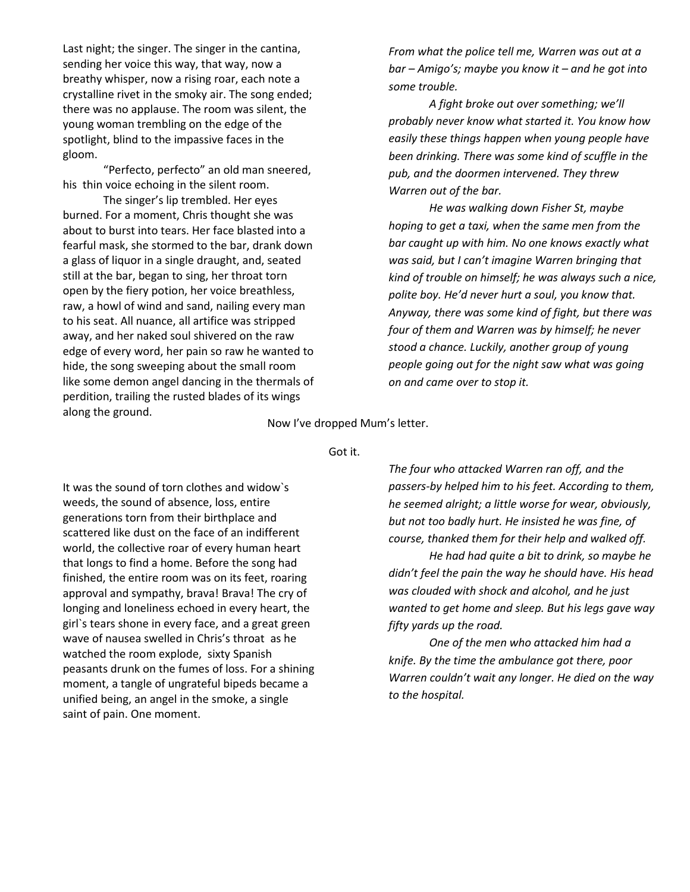Last night; the singer. The singer in the cantina, sending her voice this way, that way, now a breathy whisper, now a rising roar, each note a crystalline rivet in the smoky air. The song ended; there was no applause. The room was silent, the young woman trembling on the edge of the spotlight, blind to the impassive faces in the gloom.

 "Perfecto, perfecto" an old man sneered, his thin voice echoing in the silent room.

 The singer's lip trembled. Her eyes burned. For a moment, Chris thought she was about to burst into tears. Her face blasted into a fearful mask, she stormed to the bar, drank down a glass of liquor in a single draught, and, seated still at the bar, began to sing, her throat torn open by the fiery potion, her voice breathless, raw, a howl of wind and sand, nailing every man to his seat. All nuance, all artifice was stripped away, and her naked soul shivered on the raw edge of every word, her pain so raw he wanted to hide, the song sweeping about the small room like some demon angel dancing in the thermals of perdition, trailing the rusted blades of its wings along the ground.

*From what the police tell me, Warren was out at a bar – Amigo's; maybe you know it – and he got into some trouble.* 

 *A fight broke out over something; we'll probably never know what started it. You know how easily these things happen when young people have been drinking. There was some kind of scuffle in the pub, and the doormen intervened. They threw Warren out of the bar.* 

 *He was walking down Fisher St, maybe hoping to get a taxi, when the same men from the bar caught up with him. No one knows exactly what was said, but I can't imagine Warren bringing that kind of trouble on himself; he was always such a nice, polite boy. He'd never hurt a soul, you know that. Anyway, there was some kind of fight, but there was four of them and Warren was by himself; he never stood a chance. Luckily, another group of young people going out for the night saw what was going on and came over to stop it.* 

## Now I've dropped Mum's letter.

Got it.

It was the sound of torn clothes and widow`s weeds, the sound of absence, loss, entire generations torn from their birthplace and scattered like dust on the face of an indifferent world, the collective roar of every human heart that longs to find a home. Before the song had finished, the entire room was on its feet, roaring approval and sympathy, brava! Brava! The cry of longing and loneliness echoed in every heart, the girl`s tears shone in every face, and a great green wave of nausea swelled in Chris's throat as he watched the room explode, sixty Spanish peasants drunk on the fumes of loss. For a shining moment, a tangle of ungrateful bipeds became a unified being, an angel in the smoke, a single saint of pain. One moment.

*The four who attacked Warren ran off, and the passers-by helped him to his feet. According to them, he seemed alright; a little worse for wear, obviously, but not too badly hurt. He insisted he was fine, of course, thanked them for their help and walked off.*

 *He had had quite a bit to drink, so maybe he didn't feel the pain the way he should have. His head was clouded with shock and alcohol, and he just wanted to get home and sleep. But his legs gave way fifty yards up the road.* 

 *One of the men who attacked him had a knife. By the time the ambulance got there, poor Warren couldn't wait any longer. He died on the way to the hospital.*